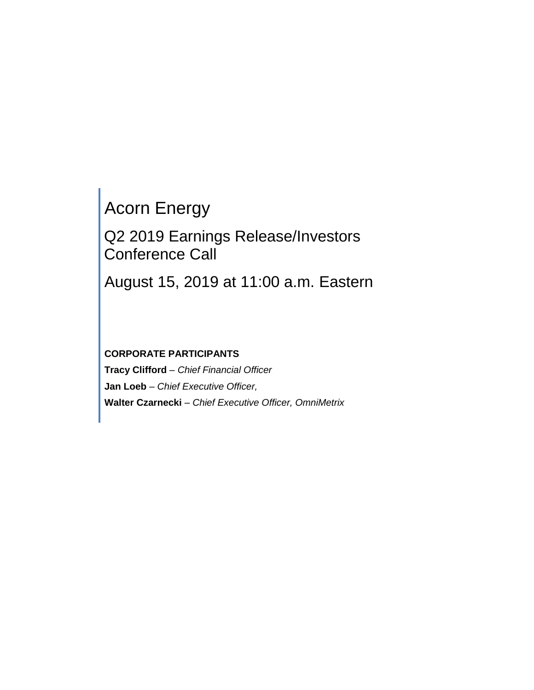# Acorn Energy

Q2 2019 Earnings Release/Investors Conference Call

August 15, 2019 at 11:00 a.m. Eastern

# **CORPORATE PARTICIPANTS**

**Tracy Clifford** *– Chief Financial Officer* **Jan Loeb** *– Chief Executive Officer,* **Walter Czarnecki** *– Chief Executive Officer, OmniMetrix*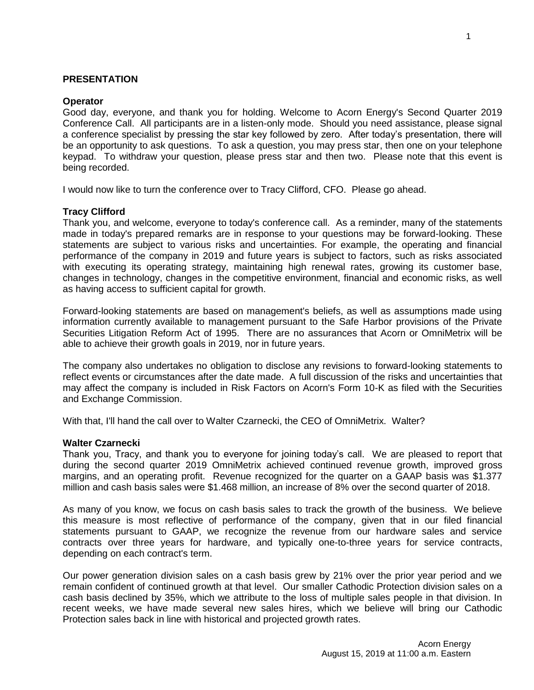# **PRESENTATION**

#### **Operator**

Good day, everyone, and thank you for holding. Welcome to Acorn Energy's Second Quarter 2019 Conference Call. All participants are in a listen-only mode. Should you need assistance, please signal a conference specialist by pressing the star key followed by zero. After today's presentation, there will be an opportunity to ask questions. To ask a question, you may press star, then one on your telephone keypad. To withdraw your question, please press star and then two. Please note that this event is being recorded.

I would now like to turn the conference over to Tracy Clifford, CFO. Please go ahead.

## **Tracy Clifford**

Thank you, and welcome, everyone to today's conference call. As a reminder, many of the statements made in today's prepared remarks are in response to your questions may be forward-looking. These statements are subject to various risks and uncertainties. For example, the operating and financial performance of the company in 2019 and future years is subject to factors, such as risks associated with executing its operating strategy, maintaining high renewal rates, growing its customer base, changes in technology, changes in the competitive environment, financial and economic risks, as well as having access to sufficient capital for growth.

Forward-looking statements are based on management's beliefs, as well as assumptions made using information currently available to management pursuant to the Safe Harbor provisions of the Private Securities Litigation Reform Act of 1995. There are no assurances that Acorn or OmniMetrix will be able to achieve their growth goals in 2019, nor in future years.

The company also undertakes no obligation to disclose any revisions to forward-looking statements to reflect events or circumstances after the date made. A full discussion of the risks and uncertainties that may affect the company is included in Risk Factors on Acorn's Form 10-K as filed with the Securities and Exchange Commission.

With that, I'll hand the call over to Walter Czarnecki, the CEO of OmniMetrix. Walter?

#### **Walter Czarnecki**

Thank you, Tracy, and thank you to everyone for joining today's call. We are pleased to report that during the second quarter 2019 OmniMetrix achieved continued revenue growth, improved gross margins, and an operating profit. Revenue recognized for the quarter on a GAAP basis was \$1.377 million and cash basis sales were \$1.468 million, an increase of 8% over the second quarter of 2018.

As many of you know, we focus on cash basis sales to track the growth of the business. We believe this measure is most reflective of performance of the company, given that in our filed financial statements pursuant to GAAP, we recognize the revenue from our hardware sales and service contracts over three years for hardware, and typically one-to-three years for service contracts, depending on each contract's term.

Our power generation division sales on a cash basis grew by 21% over the prior year period and we remain confident of continued growth at that level. Our smaller Cathodic Protection division sales on a cash basis declined by 35%, which we attribute to the loss of multiple sales people in that division. In recent weeks, we have made several new sales hires, which we believe will bring our Cathodic Protection sales back in line with historical and projected growth rates.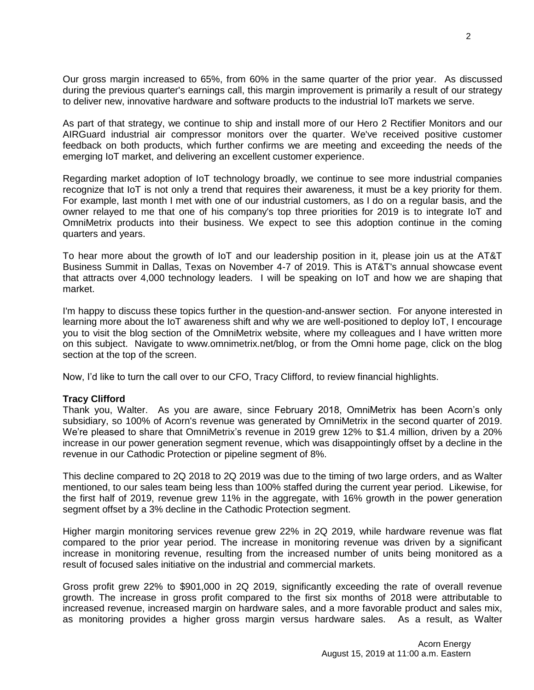Our gross margin increased to 65%, from 60% in the same quarter of the prior year. As discussed during the previous quarter's earnings call, this margin improvement is primarily a result of our strategy to deliver new, innovative hardware and software products to the industrial IoT markets we serve.

As part of that strategy, we continue to ship and install more of our Hero 2 Rectifier Monitors and our AIRGuard industrial air compressor monitors over the quarter. We've received positive customer feedback on both products, which further confirms we are meeting and exceeding the needs of the emerging IoT market, and delivering an excellent customer experience.

Regarding market adoption of IoT technology broadly, we continue to see more industrial companies recognize that IoT is not only a trend that requires their awareness, it must be a key priority for them. For example, last month I met with one of our industrial customers, as I do on a regular basis, and the owner relayed to me that one of his company's top three priorities for 2019 is to integrate IoT and OmniMetrix products into their business. We expect to see this adoption continue in the coming quarters and years.

To hear more about the growth of IoT and our leadership position in it, please join us at the AT&T Business Summit in Dallas, Texas on November 4-7 of 2019. This is AT&T's annual showcase event that attracts over 4,000 technology leaders. I will be speaking on IoT and how we are shaping that market.

I'm happy to discuss these topics further in the question-and-answer section. For anyone interested in learning more about the IoT awareness shift and why we are well-positioned to deploy IoT, I encourage you to visit the blog section of the OmniMetrix website, where my colleagues and I have written more on this subject. Navigate to www.omnimetrix.net/blog, or from the Omni home page, click on the blog section at the top of the screen.

Now, I'd like to turn the call over to our CFO, Tracy Clifford, to review financial highlights.

## **Tracy Clifford**

Thank you, Walter. As you are aware, since February 2018, OmniMetrix has been Acorn's only subsidiary, so 100% of Acorn's revenue was generated by OmniMetrix in the second quarter of 2019. We're pleased to share that OmniMetrix's revenue in 2019 grew 12% to \$1.4 million, driven by a 20% increase in our power generation segment revenue, which was disappointingly offset by a decline in the revenue in our Cathodic Protection or pipeline segment of 8%.

This decline compared to 2Q 2018 to 2Q 2019 was due to the timing of two large orders, and as Walter mentioned, to our sales team being less than 100% staffed during the current year period. Likewise, for the first half of 2019, revenue grew 11% in the aggregate, with 16% growth in the power generation segment offset by a 3% decline in the Cathodic Protection segment.

Higher margin monitoring services revenue grew 22% in 2Q 2019, while hardware revenue was flat compared to the prior year period. The increase in monitoring revenue was driven by a significant increase in monitoring revenue, resulting from the increased number of units being monitored as a result of focused sales initiative on the industrial and commercial markets.

Gross profit grew 22% to \$901,000 in 2Q 2019, significantly exceeding the rate of overall revenue growth. The increase in gross profit compared to the first six months of 2018 were attributable to increased revenue, increased margin on hardware sales, and a more favorable product and sales mix, as monitoring provides a higher gross margin versus hardware sales. As a result, as Walter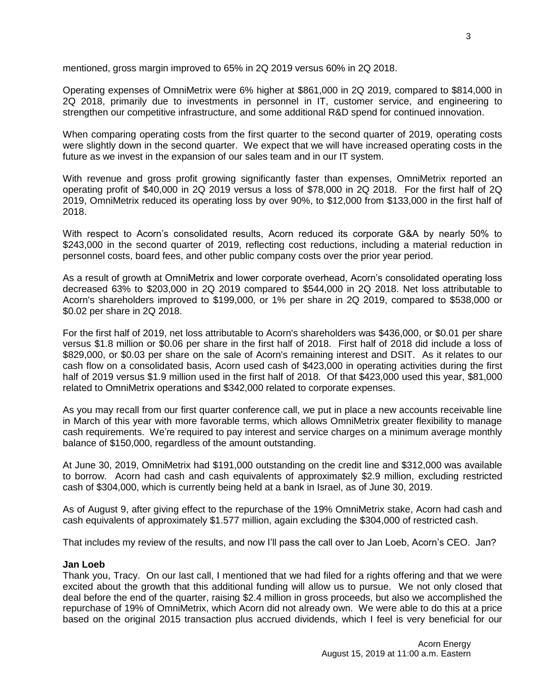mentioned, gross margin improved to 65% in 2Q 2019 versus 60% in 2Q 2018.

Operating expenses of OmniMetrix were 6% higher at \$861,000 in 2Q 2019, compared to \$814,000 in 2Q 2018, primarily due to investments in personnel in IT, customer service, and engineering to strengthen our competitive infrastructure, and some additional R&D spend for continued innovation.

When comparing operating costs from the first quarter to the second quarter of 2019, operating costs were slightly down in the second quarter. We expect that we will have increased operating costs in the future as we invest in the expansion of our sales team and in our IT system.

With revenue and gross profit growing significantly faster than expenses, OmniMetrix reported an operating profit of \$40,000 in 2Q 2019 versus a loss of \$78,000 in 2Q 2018. For the first half of 2Q 2019, OmniMetrix reduced its operating loss by over 90%, to \$12,000 from \$133,000 in the first half of 2018.

With respect to Acorn's consolidated results, Acorn reduced its corporate G&A by nearly 50% to \$243,000 in the second quarter of 2019, reflecting cost reductions, including a material reduction in personnel costs, board fees, and other public company costs over the prior year period.

As a result of growth at OmniMetrix and lower corporate overhead, Acorn's consolidated operating loss decreased 63% to \$203,000 in 2Q 2019 compared to \$544,000 in 2Q 2018. Net loss attributable to Acorn's shareholders improved to \$199,000, or 1% per share in 2Q 2019, compared to \$538,000 or \$0.02 per share in 2Q 2018.

For the first half of 2019, net loss attributable to Acorn's shareholders was \$436,000, or \$0.01 per share versus \$1.8 million or \$0.06 per share in the first half of 2018. First half of 2018 did include a loss of \$829,000, or \$0.03 per share on the sale of Acorn's remaining interest and DSIT. As it relates to our cash flow on a consolidated basis, Acorn used cash of \$423,000 in operating activities during the first half of 2019 versus \$1.9 million used in the first half of 2018. Of that \$423,000 used this year, \$81,000 related to OmniMetrix operations and \$342,000 related to corporate expenses.

As you may recall from our first quarter conference call, we put in place a new accounts receivable line in March of this year with more favorable terms, which allows OmniMetrix greater flexibility to manage cash requirements. We're required to pay interest and service charges on a minimum average monthly balance of \$150,000, regardless of the amount outstanding.

At June 30, 2019, OmniMetrix had \$191,000 outstanding on the credit line and \$312,000 was available to borrow. Acorn had cash and cash equivalents of approximately \$2.9 million, excluding restricted cash of \$304,000, which is currently being held at a bank in Israel, as of June 30, 2019.

As of August 9, after giving effect to the repurchase of the 19% OmniMetrix stake, Acorn had cash and cash equivalents of approximately \$1.577 million, again excluding the \$304,000 of restricted cash.

That includes my review of the results, and now I'll pass the call over to Jan Loeb, Acorn's CEO. Jan?

#### **Jan Loeb**

Thank you, Tracy. On our last call, I mentioned that we had filed for a rights offering and that we were excited about the growth that this additional funding will allow us to pursue. We not only closed that deal before the end of the quarter, raising \$2.4 million in gross proceeds, but also we accomplished the repurchase of 19% of OmniMetrix, which Acorn did not already own. We were able to do this at a price based on the original 2015 transaction plus accrued dividends, which I feel is very beneficial for our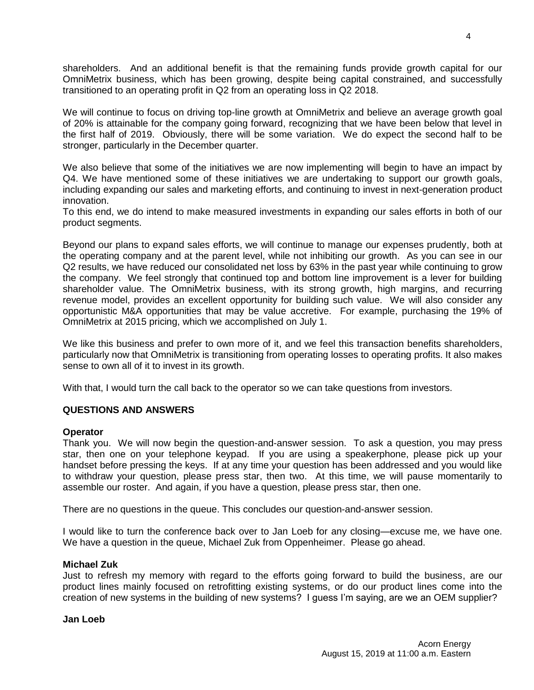shareholders. And an additional benefit is that the remaining funds provide growth capital for our OmniMetrix business, which has been growing, despite being capital constrained, and successfully transitioned to an operating profit in Q2 from an operating loss in Q2 2018.

We will continue to focus on driving top-line growth at OmniMetrix and believe an average growth goal of 20% is attainable for the company going forward, recognizing that we have been below that level in the first half of 2019. Obviously, there will be some variation. We do expect the second half to be stronger, particularly in the December quarter.

We also believe that some of the initiatives we are now implementing will begin to have an impact by Q4. We have mentioned some of these initiatives we are undertaking to support our growth goals, including expanding our sales and marketing efforts, and continuing to invest in next-generation product innovation.

To this end, we do intend to make measured investments in expanding our sales efforts in both of our product segments.

Beyond our plans to expand sales efforts, we will continue to manage our expenses prudently, both at the operating company and at the parent level, while not inhibiting our growth. As you can see in our Q2 results, we have reduced our consolidated net loss by 63% in the past year while continuing to grow the company. We feel strongly that continued top and bottom line improvement is a lever for building shareholder value. The OmniMetrix business, with its strong growth, high margins, and recurring revenue model, provides an excellent opportunity for building such value. We will also consider any opportunistic M&A opportunities that may be value accretive. For example, purchasing the 19% of OmniMetrix at 2015 pricing, which we accomplished on July 1.

We like this business and prefer to own more of it, and we feel this transaction benefits shareholders, particularly now that OmniMetrix is transitioning from operating losses to operating profits. It also makes sense to own all of it to invest in its growth.

With that, I would turn the call back to the operator so we can take questions from investors.

# **QUESTIONS AND ANSWERS**

## **Operator**

Thank you. We will now begin the question-and-answer session. To ask a question, you may press star, then one on your telephone keypad. If you are using a speakerphone, please pick up your handset before pressing the keys. If at any time your question has been addressed and you would like to withdraw your question, please press star, then two. At this time, we will pause momentarily to assemble our roster. And again, if you have a question, please press star, then one.

There are no questions in the queue. This concludes our question-and-answer session.

I would like to turn the conference back over to Jan Loeb for any closing—excuse me, we have one. We have a question in the queue, Michael Zuk from Oppenheimer. Please go ahead.

## **Michael Zuk**

Just to refresh my memory with regard to the efforts going forward to build the business, are our product lines mainly focused on retrofitting existing systems, or do our product lines come into the creation of new systems in the building of new systems? I guess I'm saying, are we an OEM supplier?

## **Jan Loeb**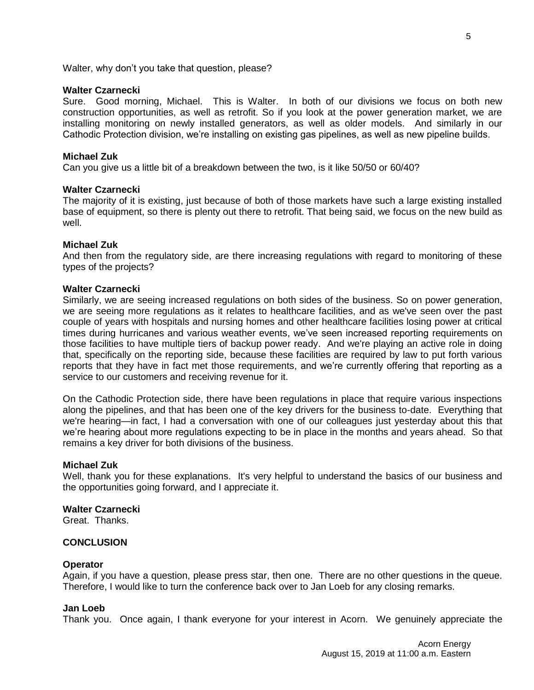Walter, why don't you take that question, please?

# **Walter Czarnecki**

Sure. Good morning, Michael. This is Walter. In both of our divisions we focus on both new construction opportunities, as well as retrofit. So if you look at the power generation market, we are installing monitoring on newly installed generators, as well as older models. And similarly in our Cathodic Protection division, we're installing on existing gas pipelines, as well as new pipeline builds.

# **Michael Zuk**

Can you give us a little bit of a breakdown between the two, is it like 50/50 or 60/40?

# **Walter Czarnecki**

The majority of it is existing, just because of both of those markets have such a large existing installed base of equipment, so there is plenty out there to retrofit. That being said, we focus on the new build as well.

# **Michael Zuk**

And then from the regulatory side, are there increasing regulations with regard to monitoring of these types of the projects?

# **Walter Czarnecki**

Similarly, we are seeing increased regulations on both sides of the business. So on power generation, we are seeing more regulations as it relates to healthcare facilities, and as we've seen over the past couple of years with hospitals and nursing homes and other healthcare facilities losing power at critical times during hurricanes and various weather events, we've seen increased reporting requirements on those facilities to have multiple tiers of backup power ready. And we're playing an active role in doing that, specifically on the reporting side, because these facilities are required by law to put forth various reports that they have in fact met those requirements, and we're currently offering that reporting as a service to our customers and receiving revenue for it.

On the Cathodic Protection side, there have been regulations in place that require various inspections along the pipelines, and that has been one of the key drivers for the business to-date. Everything that we're hearing—in fact, I had a conversation with one of our colleagues just yesterday about this that we're hearing about more regulations expecting to be in place in the months and years ahead. So that remains a key driver for both divisions of the business.

# **Michael Zuk**

Well, thank you for these explanations. It's very helpful to understand the basics of our business and the opportunities going forward, and I appreciate it.

# **Walter Czarnecki**

Great. Thanks.

## **CONCLUSION**

## **Operator**

Again, if you have a question, please press star, then one. There are no other questions in the queue. Therefore, I would like to turn the conference back over to Jan Loeb for any closing remarks.

## **Jan Loeb**

Thank you. Once again, I thank everyone for your interest in Acorn. We genuinely appreciate the